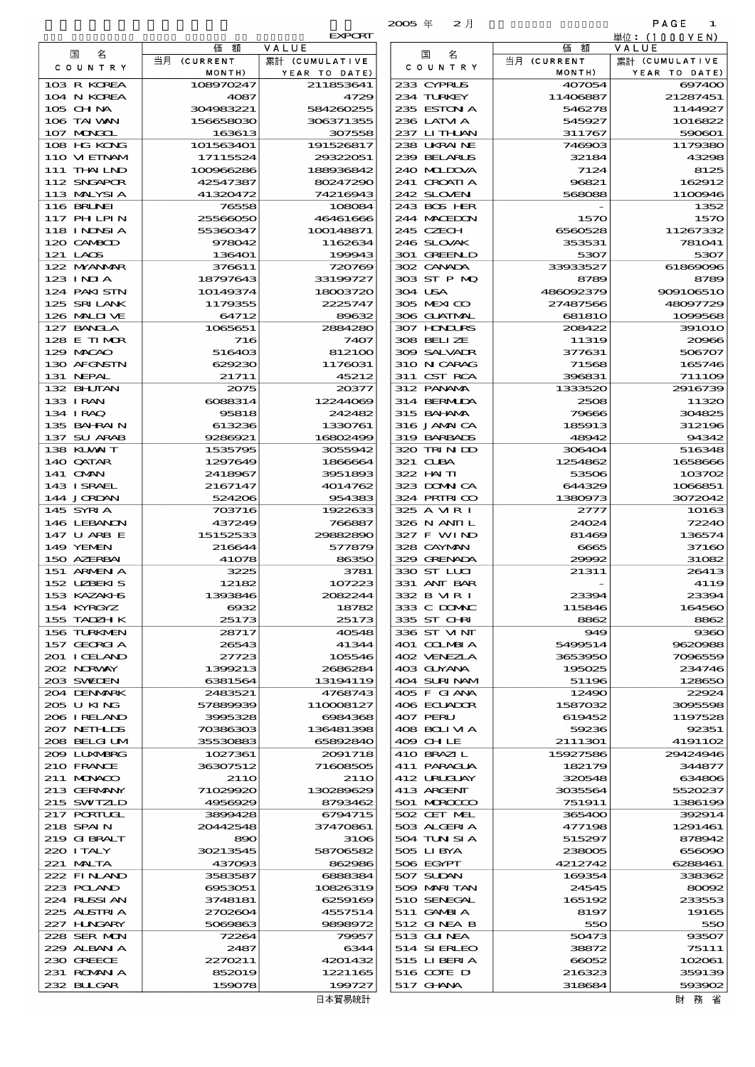|                              |                        |                         | 2005年<br>2月                |                       | PAGE<br>1               |
|------------------------------|------------------------|-------------------------|----------------------------|-----------------------|-------------------------|
|                              |                        | <b>EXPORT</b>           |                            |                       | 単位: (1000YEN)           |
| 名<br>国                       | 価<br>額<br>当月 (CURRENT  | VALUE<br>累計 (CUMULATIVE | 名<br>国                     | 価<br>額<br>当月 (CURRENT | VALUE<br>累計 (CUMULATIVE |
| COUNTRY                      | MONTH)                 | YEAR TO DATE)           | C O U N T R Y              | MONTH)                | YEAR TO DATE)           |
| 103 R KOREA                  | 108970247              | 211853641               | 233 CYPRUS                 | 407054                | 697400                  |
| 104 N KOREA                  | 4087                   | 4729                    | 234 TURKEY                 | 11406887              | 21287451                |
| 105 CHNA<br>106 TAI WAN      | 304983221<br>156658030 | 584260255<br>306371355  | 235 ESTON A<br>236 LATM A  | 546278<br>545927      | 1144927<br>1016822      |
| 107 MNGCL                    | 163613                 | 307558                  | 237 LITHAN                 | 311767                | 590601                  |
| 108 HG KONG                  | 101563401              | 191526817               | 238 UKRAINE                | 746903                | 1179380                 |
| 110 VIETNAM                  | 17115524               | 29322051                | 239 BELARUS                | 32184                 | 43298                   |
| 111 THAILND<br>112 SNGAPOR   | 100966286<br>42547387  | 188936842<br>80247290   | 240 MIDJA<br>241 CROATIA   | 7124<br>96821         | 8125<br>162912          |
| 113 MALYSIA                  | 41320472               | 74216943                | 242 SLOVEN                 | 568088                | 1100946                 |
| 116 BRUNEI                   | 76558                  | 108084                  | 243 BOS HER                |                       | 1352                    |
| 117 PHLPIN                   | 25566050               | 46461666                | 244 MACHON                 | 1570                  | 1570                    |
| 118 I NDSI A<br>120 CAMBOD   | 55360347<br>978042     | 100148871<br>1162634    | 245 CZECH<br>246 SLOVAK    | 6560528<br>353531     | 11267332<br>781041      |
| 121 LAOS                     | 136401                 | 199943                  | 301 GREENLD                | 5307                  | 5307                    |
| 122 MYANAR                   | 376611                 | 720769                  | 302 CANADA                 | 33933527              | 61869096                |
| 123 INJA                     | 18797643               | 33199727                | 303 ST P MQ                | 8789                  | 8789                    |
| 124 PAKISTN                  | 10149374               | 18003720                | 304 USA                    | 486092379             | 909106510               |
| 125 SRILANK<br>126 MALINE    | 1179355<br>64712       | 2225747<br>89632        | 305 MEXICO<br>306 GUATMAL  | 27487566<br>681810    | 48097729<br>1099568     |
| 127 BANCLA                   | 1065651                | 2884280                 | 307 HONDURS                | 208422                | 391010                  |
| 128 E TIMOR                  | 716                    | 7407                    | 308 BELLZE                 | 11319                 | 20966                   |
| 129 MACAO                    | 516403                 | 812100                  | 309 SALVADR                | 377631                | 506707                  |
| 130 AFGNSTN<br>131 NEPAL     | 629230<br>21711        | 1176031<br>45212        | 310 N CARAG<br>311 CST RCA | 71568<br>396831       | 165746<br>711109        |
| 132 BHUTAN                   | 2075                   | 20377                   | 312 PANAMA                 | 1333520               | 2916739                 |
| 133 IRAN                     | 6088314                | 12244069                | 314 BERMIDA                | 2508                  | 11320                   |
| 134 IRAQ                     | 95818                  | 242482                  | 315 BAHAMA                 | 79666                 | 304825                  |
| 135 BAHRAIN<br>137 SU ARAB   | 613236<br>9286921      | 1330761<br>16802499     | 316 JAMAICA<br>319 BARBADS | 185913<br>48942       | 312196<br>94342         |
| 138 KUWAIT                   | 1535795                | 3055942                 | 320 TRINDO                 | 306404                | 516348                  |
| 140 QATAR                    | 1297649                | 1866664                 | 321 CLBA                   | 1254862               | 1658666                 |
| 141 OMN                      | 2418967                | 3951893                 | 322 HAITI                  | 53506                 | 103702                  |
| 143 ISRAEL                   | 2167147                | 4014762                 | 323 DOMNICA                | 644329                | 1066851<br>3072042      |
| 144 JORDAN<br>145 SYRIA      | 524206<br>703716       | 954383<br>1922633       | 324 PRIRICO<br>325 A MRI   | 1380973<br>2777       | 10163                   |
| 146 LEBANON                  | 437249                 | 766887                  | 326 N ANII L               | 24024                 | 72240                   |
| 147 U ARB E                  | 15152533               | 29882890                | 327 F WIND                 | 81469                 | 136574                  |
| 149 YEMEN                    | 216644                 | 577879                  | 328 CAYMAN                 | 6665                  | 37160                   |
| 150 AZERBAI<br>151 ARMENIA   | 41078<br>3225          | 86350<br>3781           | 329 GRENADA<br>330 ST LUI  | 29992<br>21311        | 31082<br>26413          |
| 152 UZEKIS                   | 12182                  | 107223                  | 331 ANT BAR                |                       | 4119                    |
| 153 KAZAKI-IS                | 1393846                | 2082244                 | 332 B MR I                 | 23394                 | 23394                   |
| 154 KYRGYZ                   | $\cos z$               | 18782                   | 333 C DOMAC                | 115846                | 164560                  |
| 155 TADZH K<br>156 TURKMEN   | 25173<br>28717         | 25173<br>40548          | 335 ST CHRI<br>336 ST VINT | 8862<br>949           | 8862<br>9360            |
| 157 GEORGIA                  | 26543                  | 41344                   | 401 COLMBIA                | 5499514               | 9620988                 |
| 201 I CELAND                 | 27723                  | 105546                  | 402 VENEZIA                | 3653950               | 7096559                 |
| 202 NORWAY                   | 1399213                | 2686284                 | 403 GUYANA                 | 195025                | 234746                  |
| 203 SWIDEN<br>204 DENMARK    | 6381564<br>2483521     | 13194119<br>4768743     | 404 SURINAM<br>405 F GIANA | 51196<br>12490        | 128650<br>22924         |
| 205 U KING                   | 57889939               | 110008127               | 406 ECUADOR                | 1587032               | 3095598                 |
| 206 I RELAND                 | 3995328                | 6984368                 | 407 PERU                   | 619452                | 1197528                 |
| 207 NETH LIS<br>208 BELGI UM | 70386303<br>35530883   | 136481398<br>65892840   | 408 BOLIMA<br>409 CHLE     | 59236                 | 92351                   |
| 2009 LUNABRG                 | 1027361                | 2091718                 | 410 BRAZIL                 | 2111301<br>15927586   | 4191102<br>29424946     |
| 210 FRANCE                   | 36307512               | 71608505                | 411 PARAGUA                | 182179                | 344877                  |
| 211 MUNACO                   | 21 1 O                 | 21 <sub>10</sub>        | 412 URUCUAY                | 320548                | 634806                  |
| 213 GERMANY<br>215 SWIZLD    | 71029920<br>4956929    | 130289629<br>8793462    | 413 ARGENT<br>501 MROCCO   | 3035564<br>751911     | 5520237<br>1386199      |
| 217 PORTUGL                  | 3899428                | 6794715                 | 502 CET MEL                | 365400                | 392914                  |
| 218 SPAIN                    | 20442548               | 37470861                | 503 ALGERIA                | 477198                | 1291461                 |
| 219 GIBRALT                  | 890                    | 3106                    | 504 TUN SI A               | 515297                | 878942                  |
| 220 I TALY<br>221 MALTA      | 30213545<br>437093     | 58706582<br>862986      | 505 LIBYA<br>506 EGYPT     | 238005<br>4212742     | 656090<br>6288461       |
| 222 FINLAND                  | 3583587                | 6888384                 | 507 SUDAN                  | 169354                | 338362                  |
| 223 POLAND                   | 6953051                | 10826319                | 509 MARI TAN               | 24545                 | 80092                   |
| 224 RUSSI AN                 | 3748181                | 6259169                 | 510 SENEGAL                | 165192                | 233553                  |
| 225 ALSTRIA<br>227 H.NGARY   | 2702604<br>5069863     | 4557514<br>9898972      | 511 GAMBIA<br>512 GINEA B  | 8197<br>550           | 19165<br>550            |
| 228 SER MON                  | 72264                  | 79957                   | 513 GUNEA                  | 50473                 | 93507                   |
| 229 ALBAN A                  | 2487                   | 6344                    | 514 SIERLEO                | 38872                 | 75111                   |
| 230 GREECE                   | 2270211                | 4201432                 | 515 LIBERIA                | 66052                 | 102061                  |
| 231 ROMANIA<br>232 BLLGAR    | 852019<br>159078       | 1221165<br>199727       | 516 COIE D<br>$517$ GHNA   | 216323<br>318684      | 359139<br>593902        |
|                              |                        |                         |                            |                       |                         |

| 国<br>名                             | 価額                    | VALUE                          |
|------------------------------------|-----------------------|--------------------------------|
| COUNTRY                            | 当月 (CURRENT<br>MONTH) | 累計 (CUMULATIVE<br>YEAR TO DATE |
| 103 R KOREA                        | 108970247             | 211853641                      |
| 104 N KOREA<br>105 CHNA            | 4087<br>304983221     | 4729<br>58426025               |
| 106 TAI VAN                        | 156658030             | 30637135                       |
| 107 MAGCL<br>108 HG KONG           | 163613<br>101563401   | 307558<br>191526817            |
| 110 VIEINAM                        | 17115524              | 29322051                       |
| 111 THAI LND                       | 100966286             | 188936842                      |
| 112 SNGAPOR<br>113 MALYSIA         | 42547387<br>41320472  | 80247290<br>74216943           |
| <b>116 BRUNEI</b>                  | 76558                 | 10808                          |
| <b>117 PHLPIN</b><br>118 I NDNSI A | 25566050<br>55360347  | 4646166<br>100148871           |
| 120 CAMBOD                         | 978042                | 1162634                        |
| 121 LAOS                           | 136401                | 199943                         |
| 122 MYANMAR<br>$123$ INJA          | 376611<br>18797643    | 72076<br>33199727              |
| 124 PAKI STN                       | 10149374              | 18003720                       |
| 125 SRILANK<br>126 MALINE          | 1179355<br>64712      | 2225747<br>8963                |
| 127 BANCLA                         | 1065651               | 2884280                        |
| 128 E TIMOR                        | 716                   | 740                            |
| 129 MACAO<br>130 AFGNSTN           | 516403<br>629230      | 812100<br>1176031              |
| 131 NEPAL                          | 21711                 | 45212                          |
| 132 BHUTAN<br>133 I RAN            | 2075<br>6088314       | 2037<br>1224406                |
| 134 IRAQ                           | 95818                 | 242482                         |
| 135 BAHRAIN                        | 613236                | 1330761                        |
| 137 SU ARAB<br>138 KUWAIT          | 9286921<br>1535795    | 1680249<br>3055942             |
| 140 QATAR                          | 1297649               | 186666                         |
| 141 OMN<br>143 I SRAEL             | 2418967<br>2167147    | 3951890<br>4014762             |
| 144 JORDAN                         | 524206                | 95438                          |
| 145 SYRIA                          | 703716                | 1922633                        |
| 146 LEBANON<br>147 U ARB E         | 437249<br>15152533    | 76688.<br>29882890             |
| 149 YEMEN                          | 216644                | 577879                         |
| 150 AZERBAI<br>151 ARMEN A         | 41078<br>3225         | 86350<br>3781                  |
| 152 UBEKIS                         | 12182                 | 10722                          |
| 153 KAZAKI S                       | 1393846               | 208224                         |
| 154 KYRGYZ<br>155 TADZH K          | $\cos z$<br>25173     | 1878<br>2517.                  |
| 156 TURKMEN                        | 28717                 | $-40548$                       |
| 157 GEORGIA<br>201 I CELAND        | 26543<br>27723        | 4134<br>105546                 |
| 202 NORWAY                         | 1399213               | 268628                         |
| 203 SWIDEN                         | 6381564               | 13194119                       |
| 204 DENMARK<br>205 U KING          | 2483521<br>57889939   | 476874.<br>110008127           |
| 206 IRELAND                        | 3995328               | 698436                         |
| 207 NETHLIS<br>208 BELGI UM        | 70386303<br>35530883  | 136481396<br>65892840          |
| 2009 LUXWERG                       | 1027361               | 2091718                        |
| 210 FRANCE<br>211 MUNACO           | 36307512<br>21 1 O    | 7160850<br>2110                |
| 213 GERMANY                        | 71029920              | 130289629                      |
| 215 SWIZLD                         | 4956929               | 8793462                        |
| 217 PORTUGL<br>218 SPAIN           | 3899428<br>20442548   | 6794715<br>37470861            |
| 219 GIBRALT                        | 890                   | 3100                           |
| 220 I TALY<br>221 MALTA            | 30213545<br>437093    | 5870658<br>86298               |
| 222 FINAND                         | 3583587               | 688838                         |
| 223 POLAND                         | 6953051               | 10826319                       |
| 224 RUSSI AN<br>225 ALSTRIA        | 3748181<br>2702604    | 6259169<br>4557514             |
| 227 H.NGARY                        | 5069863               | 9898972                        |
| 228 SER MON<br>229 ALBAN A         | 72264<br>2487         | 79957<br>634                   |
| 230 GREECE                         | 2270211               | 4201432                        |
| 231 ROMANIA                        | 852019                | 1221165                        |
| 232 BUGAR                          | 159078                | 19972.<br>日本貿易統計               |
|                                    |                       |                                |

財務省